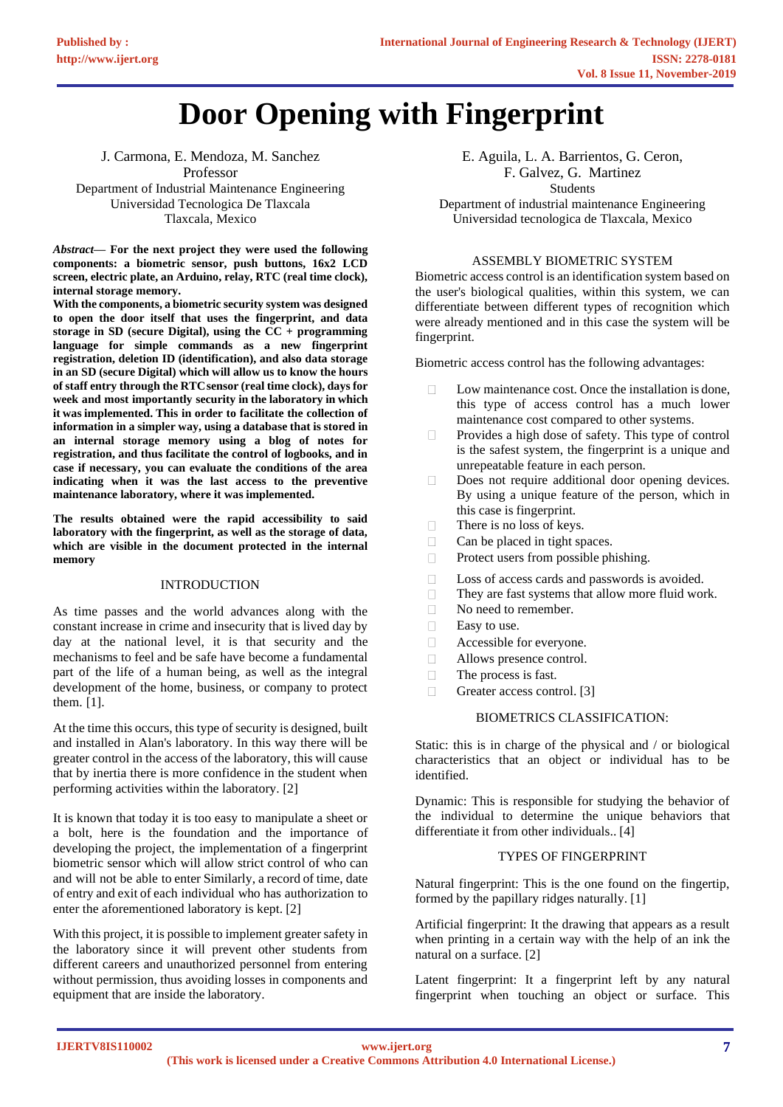# **Door Opening with Fingerprint**

J. Carmona, E. Mendoza, M. Sanchez Professor Department of Industrial Maintenance Engineering Universidad Tecnologica De Tlaxcala Tlaxcala, Mexico

*Abstract***— For the next project they were used the following components: a biometric sensor, push buttons, 16x2 LCD screen, electric plate, an Arduino, relay, RTC (real time clock), internal storage memory.**

**With the components, a biometric security system was designed to open the door itself that uses the fingerprint, and data storage in SD (secure Digital), using the CC + programming language for simple commands as a new fingerprint registration, deletion ID (identification), and also data storage in an SD (secure Digital) which will allow us to know the hours of staff entry through the RTCsensor (real time clock), days for week and most importantly security in the laboratory in which it was implemented. This in order to facilitate the collection of information in a simpler way, using a database that is stored in an internal storage memory using a blog of notes for registration, and thus facilitate the control of logbooks, and in case if necessary, you can evaluate the conditions of the area indicating when it was the last access to the preventive maintenance laboratory, where it was implemented.**

**The results obtained were the rapid accessibility to said laboratory with the fingerprint, as well as the storage of data, which are visible in the document protected in the internal memory**

## INTRODUCTION

As time passes and the world advances along with the constant increase in crime and insecurity that is lived day by day at the national level, it is that security and the mechanisms to feel and be safe have become a fundamental part of the life of a human being, as well as the integral development of the home, business, or company to protect them. [1].

At the time this occurs, this type of security is designed, built and installed in Alan's laboratory. In this way there will be greater control in the access of the laboratory, this will cause that by inertia there is more confidence in the student when performing activities within the laboratory. [2]

It is known that today it is too easy to manipulate a sheet or a bolt, here is the foundation and the importance of developing the project, the implementation of a fingerprint biometric sensor which will allow strict control of who can and will not be able to enter Similarly, a record of time, date of entry and exit of each individual who has authorization to enter the aforementioned laboratory is kept. [2]

With this project, it is possible to implement greater safety in the laboratory since it will prevent other students from different careers and unauthorized personnel from entering without permission, thus avoiding losses in components and equipment that are inside the laboratory.

E. Aguila, L. A. Barrientos, G. Ceron, F. Galvez, G. Martinez Students Department of industrial maintenance Engineering Universidad tecnologica de Tlaxcala, Mexico

#### ASSEMBLY BIOMETRIC SYSTEM

Biometric access control is an identification system based on the user's biological qualities, within this system, we can differentiate between different types of recognition which were already mentioned and in this case the system will be fingerprint.

Biometric access control has the following advantages:

- $\Box$ Low maintenance cost. Once the installation is done, this type of access control has a much lower maintenance cost compared to other systems.
- $\Box$ Provides a high dose of safety. This type of control is the safest system, the fingerprint is a unique and unrepeatable feature in each person.
- $\Box$ Does not require additional door opening devices. By using a unique feature of the person, which in this case is fingerprint.
- There is no loss of keys.  $\Box$
- $\Box$ Can be placed in tight spaces.
- Protect users from possible phishing.  $\Box$
- $\Box$ Loss of access cards and passwords is avoided.
- $\Box$ They are fast systems that allow more fluid work.
- $\Box$ No need to remember.
- $\Box$ Easy to use.
- $\Box$ Accessible for everyone.
- $\Box$ Allows presence control.
- $\Box$ The process is fast.
- Greater access control. [3]  $\Box$

#### BIOMETRICS CLASSIFICATION:

Static: this is in charge of the physical and / or biological characteristics that an object or individual has to be identified.

Dynamic: This is responsible for studying the behavior of the individual to determine the unique behaviors that differentiate it from other individuals.. [4]

#### TYPES OF FINGERPRINT

Natural fingerprint: This is the one found on the fingertip, formed by the papillary ridges naturally. [1]

Artificial fingerprint: It the drawing that appears as a result when printing in a certain way with the help of an ink the natural on a surface. [2]

Latent fingerprint: It a fingerprint left by any natural fingerprint when touching an object or surface. This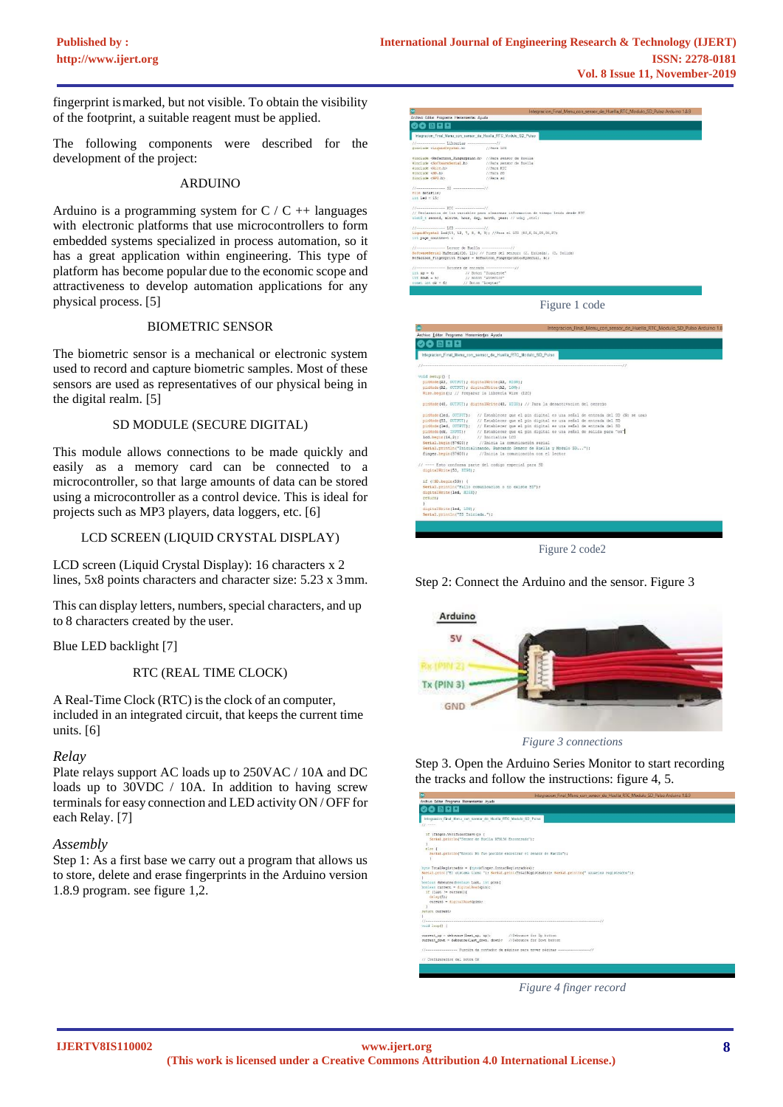fingerprint ismarked, but not visible. To obtain the visibility of the footprint, a suitable reagent must be applied.

The following components were described for the development of the project:

## ARDUINO

Arduino is a programming system for  $C / C$  ++ languages with electronic platforms that use microcontrollers to form embedded systems specialized in process automation, so it has a great application within engineering. This type of platform has become popular due to the economic scope and attractiveness to develop automation applications for any physical process. [5]

#### BIOMETRIC SENSOR

The biometric sensor is a mechanical or electronic system used to record and capture biometric samples. Most of these sensors are used as representatives of our physical being in the digital realm. [5]

#### SD MODULE (SECURE DIGITAL)

This module allows connections to be made quickly and easily as a memory card can be connected to a microcontroller, so that large amounts of data can be stored using a microcontroller as a control device. This is ideal for projects such as MP3 players, data loggers, etc. [6]

## LCD SCREEN (LIQUID CRYSTAL DISPLAY)

LCD screen (Liquid Crystal Display): 16 characters x 2 lines, 5x8 points characters and character size: 5.23 x 3mm.

This can display letters, numbers, special characters, and up to 8 characters created by the user.

Blue LED backlight [7]

RTC (REAL TIME CLOCK)

A Real-Time Clock (RTC) is the clock of an computer, included in an integrated circuit, that keeps the current time units. [6]

## *Relay*

Plate relays support AC loads up to 250VAC / 10A and DC loads up to 30VDC / 10A. In addition to having screw terminals for easy connection and LED activity ON / OFF for each Relay. [7]

## *Assembly*

Step 1: As a first base we carry out a program that allows us to store, delete and erase fingerprints in the Arduino version 1.8.9 program. see figure 1,2.



Figure 1 code

| Archivo Editar Programa Herramientas Ayuda                   | Integracion Final Menu con sensor de Huella RTC Modulo SD Pulso Arduino 1.8                        |
|--------------------------------------------------------------|----------------------------------------------------------------------------------------------------|
|                                                              |                                                                                                    |
| ◎ 曽日日                                                        |                                                                                                    |
|                                                              | Integracion Final Menu con sensor de Huella RTC Modulo SD Pulso                                    |
|                                                              |                                                                                                    |
| void setup() {                                               |                                                                                                    |
| pinMode (A3, OUTPUT); digitalWrite (A3, HIGH);               |                                                                                                    |
| pinMode (A2, OUTPUI); digitalWrite (A2, LOW);                |                                                                                                    |
|                                                              | Wire.begin(); // Preparar la libreria Wire (I2C)                                                   |
|                                                              | pinMode(48, OUTPUT): digitalWrite(48, HIGH): // Para la desactivacion del cerrojo                  |
|                                                              | minMode (led. OUTPUT): // Establecer que el pin digital es una señal de entrada del SD (No se usa) |
| pinMode (53, OUIFUI);                                        | // Establecer que el pin digital es una señal de entrada del SD                                    |
|                                                              | minMode (led. OUTPUT): // Establecer que el pin digital es una señal de entrada del SD             |
| pinMode (ok. INPUT);                                         | // Establecer que el pin digital es una señal de salida para "ok"                                  |
| lod.begin(16,2);                                             | // Intetaliza LCD                                                                                  |
| Serial.begin(57600);                                         | //Inicia la comunicación serial                                                                    |
|                                                              | Serial.println("Inicializando, Buscando Sensor de Huella y Modulo SD");                            |
| finger.begin(57600);                                         | //Inicia la comunicación con el lector                                                             |
|                                                              | // ---- Esto conforma parte del codigo especial para SD                                            |
| digitalWrite(53, HIGH);                                      |                                                                                                    |
| if (!SD.begin(53)) {                                         |                                                                                                    |
|                                                              | Serial.println("Fallo comunicacion o no existe SD");                                               |
| digitalWrite(led. HIGH);                                     |                                                                                                    |
| return:                                                      |                                                                                                    |
|                                                              |                                                                                                    |
| digitalWrite (led, LOW) ;<br>Serial.println("SD Iniciada."); |                                                                                                    |
|                                                              |                                                                                                    |
|                                                              |                                                                                                    |
|                                                              |                                                                                                    |
|                                                              |                                                                                                    |

Figure 2 code2

Step 2: Connect the Arduino and the sensor. Figure 3



*Figure 3 connections*

Step 3. Open the Arduino Series Monitor to start recording the tracks and follow the instructions: figure 4, 5.

|                                                                                         | <b>BUCH BOAR LINDI MCM CAR SCIPAL DE FREGS IVIC MANUAL SIX LINDA MUNICIPALITY</b>                           |
|-----------------------------------------------------------------------------------------|-------------------------------------------------------------------------------------------------------------|
| Archivo Editar Programa Herramientas Ayuda                                              |                                                                                                             |
| ◎ 圓口間                                                                                   |                                                                                                             |
| Integracion Final Menu con sensor de Huella RTC Modulo SD Pulso                         |                                                                                                             |
| $11 - - -$                                                                              |                                                                                                             |
| if (finger.VerificarClave()) [<br>Serial.println("Sensor de Buella RTH150 Encontrado"); |                                                                                                             |
| 0.700                                                                                   |                                                                                                             |
|                                                                                         | Sarial.println("Error: No fue posible encontrar el sensor de Nuella") ;                                     |
| bute TotalRegistrados - (bute) finger.ContarRegistrados();                              | Serial.oring("El sistema tiene "); Serial.orint(TotalRegistrados); Serial.orintIn(" usuarico registrados"); |
| boolean debounce(boolean last, int pin) {                                               |                                                                                                             |
| boolean current - digitalRead(pin);                                                     |                                                                                                             |
| if (last !- current) (<br>$dellay(5)$ :                                                 |                                                                                                             |
| current - digitalRead(pin);                                                             |                                                                                                             |
| return current:                                                                         |                                                                                                             |
|                                                                                         |                                                                                                             |
|                                                                                         |                                                                                                             |
| void loop() {                                                                           |                                                                                                             |
| current up = debounce (last up, up);                                                    | //Debounce for Up button                                                                                    |
| current_down = debounce(last_down, down): //Debounce_for Bown button                    |                                                                                                             |
|                                                                                         | //www.www.www.www. Función de contador de páginas para nover páginas ****************//                     |
| // Configuracion del boton OK                                                           |                                                                                                             |

*Figure 4 finger record*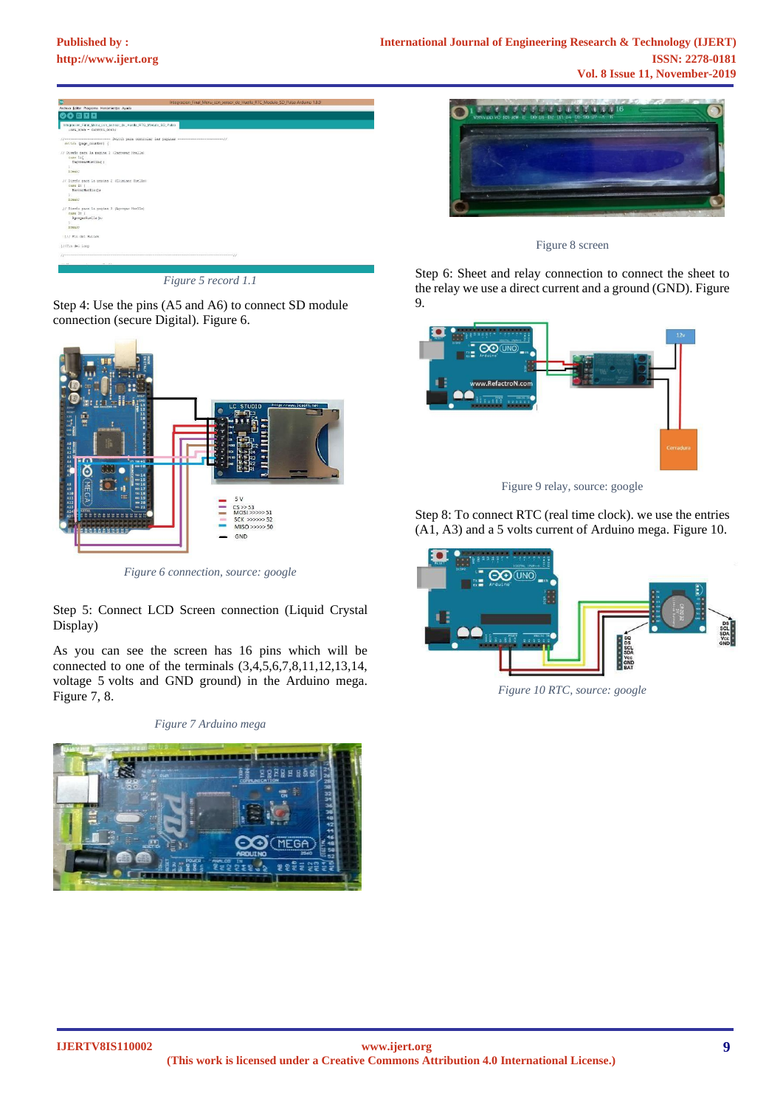

*Figure 5 record 1.1*

Step 4: Use the pins (A5 and A6) to connect SD module connection (secure Digital). Figure 6.



*Figure 6 connection, source: google*

Step 5: Connect LCD Screen connection (Liquid Crystal Display)

As you can see the screen has 16 pins which will be connected to one of the terminals (3,4,5,6,7,8,11,12,13,14, voltage 5 volts and GND ground) in the Arduino mega. Figure 7, 8.

*Figure 7 Arduino mega*





Figure 8 screen

Step 6: Sheet and relay connection to connect the sheet to the relay we use a direct current and a ground (GND). Figure 9.



Figure 9 relay, source: google

Step 8: To connect RTC (real time clock). we use the entries (A1, A3) and a 5 volts current of Arduino mega. Figure 10.



*Figure 10 RTC, source: google*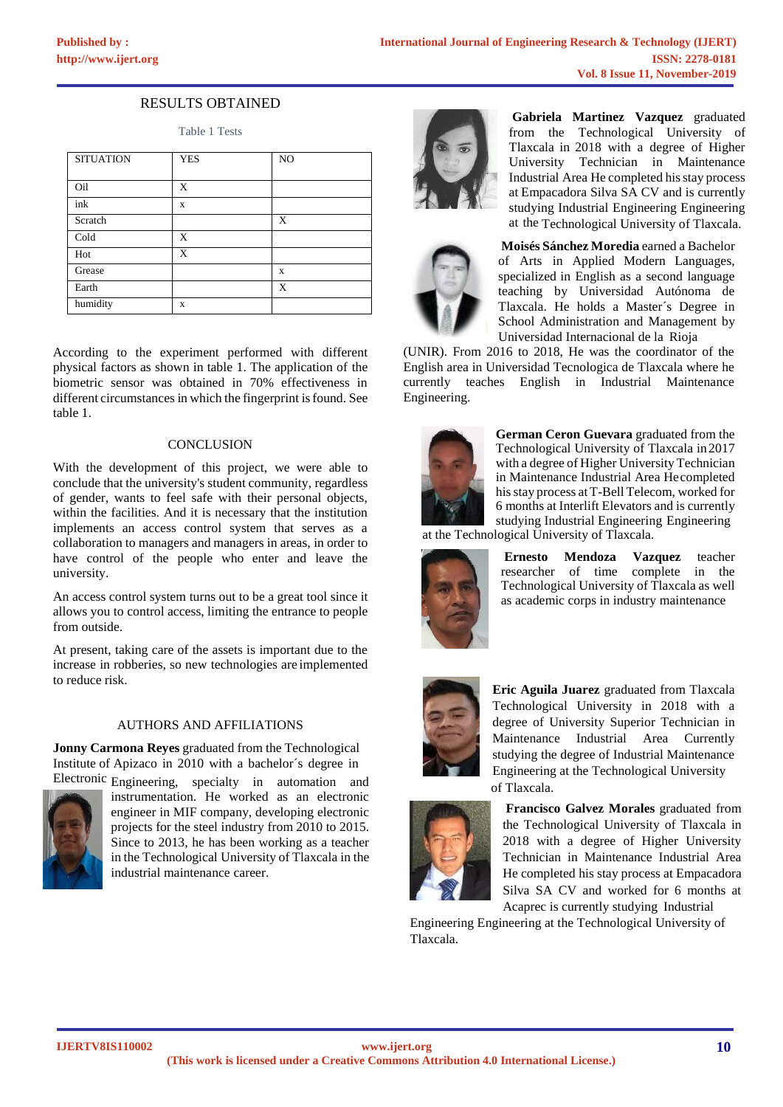# RESULTS OBTAINED

Table 1 Tests

| <b>SITUATION</b> | <b>YES</b> | NO |
|------------------|------------|----|
|                  |            |    |
| Oil              | X          |    |
| ink              | X          |    |
| Scratch          |            | X  |
| Cold             | X          |    |
| Hot              | X          |    |
| Grease           |            | X  |
| Earth            |            | X  |
| humidity         | X          |    |

According to the experiment performed with different physical factors as shown in table 1. The application of the biometric sensor was obtained in 70% effectiveness in different circumstances in which the fingerprint is found. See table 1.

#### **CONCLUSION**

With the development of this project, we were able to conclude that the university's student community, regardless of gender, wants to feel safe with their personal objects, within the facilities. And it is necessary that the institution implements an access control system that serves as a collaboration to managers and managers in areas, in order to have control of the people who enter and leave the university.

An access control system turns out to be a great tool since it allows you to control access, limiting the entrance to people from outside.

At present, taking care of the assets is important due to the increase in robberies, so new technologies are implemented to reduce risk.

## AUTHORS AND AFFILIATIONS

**Jonny Carmona Reyes** graduated from the Technological Institute of Apizaco in 2010 with a bachelor´s degree in Electronic Engineering, specialty in automation and



instrumentation. He worked as an electronic engineer in MIF company, developing electronic projects for the steel industry from 2010 to 2015. Since to 2013, he has been working as a teacher in the Technological University of Tlaxcala in the industrial maintenance career.



**Gabriela Martinez Vazquez** graduated from the Technological University of Tlaxcala in 2018 with a degree of Higher University Technician in Maintenance Industrial Area He completed hisstay process at Empacadora Silva SA CV and is currently studying Industrial Engineering Engineering at the Technological University of Tlaxcala.



**Moisés Sánchez Moredia** earned a Bachelor of Arts in Applied Modern Languages, specialized in English as a second language teaching by Universidad Autónoma de Tlaxcala. He holds a Master´s Degree in School Administration and Management by Universidad Internacional de la Rioja

(UNIR). From 2016 to 2018, He was the coordinator of the English area in Universidad Tecnologica de Tlaxcala where he currently teaches English in Industrial Maintenance Engineering.



**German Ceron Guevara** graduated from the Technological University of Tlaxcala in 2017 with a degree of Higher University Technician in Maintenance Industrial Area Hecompleted hisstay process at T-Bell Telecom, worked for 6 months at Interlift Elevators and is currently studying Industrial Engineering Engineering

at the Technological University of Tlaxcala.



**Ernesto Mendoza Vazquez** teacher researcher of time complete in the Technological University of Tlaxcala as well as academic corps in industry maintenance



**Eric Aguila Juarez** graduated from Tlaxcala Technological University in 2018 with a degree of University Superior Technician in Maintenance Industrial Area Currently studying the degree of Industrial Maintenance Engineering at the Technological University of Tlaxcala.



**Francisco Galvez Morales** graduated from the Technological University of Tlaxcala in 2018 with a degree of Higher University Technician in Maintenance Industrial Area He completed his stay process at Empacadora Silva SA CV and worked for 6 months at Acaprec is currently studying Industrial

Engineering Engineering at the Technological University of Tlaxcala.